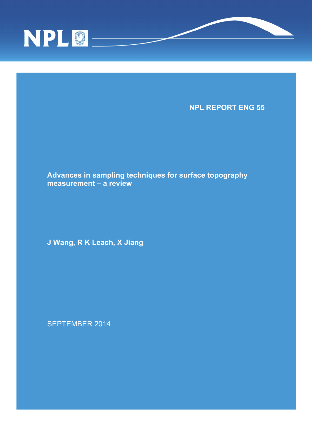



SEPTEMBER 2014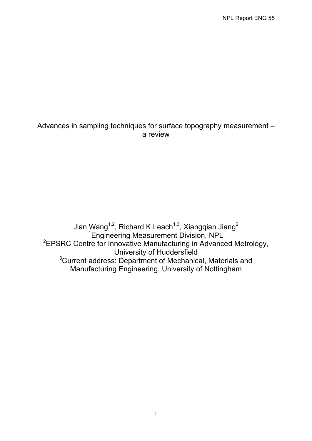# Advances in sampling techniques for surface topography measurement – a review

Jian Wang<sup>1,2</sup>, Richard K Leach<sup>1,3</sup>, Xiangqian Jiang<sup>2</sup> 1 Engineering Measurement Division, NPL <sup>2</sup>EPSRC Centre for Innovative Manufacturing in Advanced Metrology, University of Huddersfield <sup>3</sup>Current address: Department of Mechanical, Materials and Manufacturing Engineering, University of Nottingham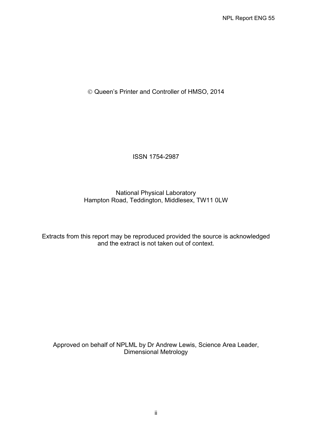Queen's Printer and Controller of HMSO, 2014

ISSN 1754-2987

# National Physical Laboratory Hampton Road, Teddington, Middlesex, TW11 0LW

Extracts from this report may be reproduced provided the source is acknowledged and the extract is not taken out of context.

Approved on behalf of NPLML by Dr Andrew Lewis, Science Area Leader, Dimensional Metrology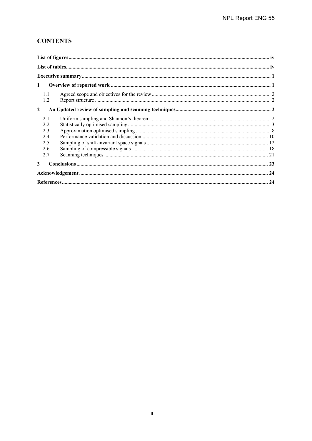# **CONTENTS**

| $\mathbf{1}$                                 |  |
|----------------------------------------------|--|
| 1.1<br>1.2                                   |  |
| $\overline{2}$                               |  |
| 21<br>2.2<br>2.3<br>2.4<br>2.5<br>2.6<br>2.7 |  |
| 3                                            |  |
|                                              |  |
|                                              |  |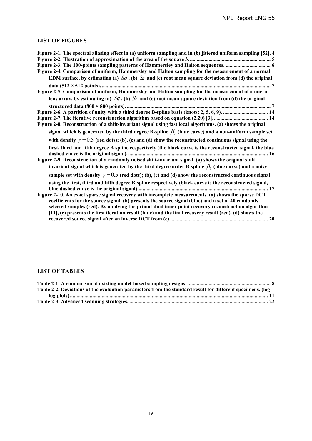# **LIST OF FIGURES**

| Figure 2-1. The spectral aliasing effect in (a) uniform sampling and in (b) jittered uniform sampling [52]. 4 |
|---------------------------------------------------------------------------------------------------------------|
|                                                                                                               |
|                                                                                                               |
| Figure 2-4. Comparison of uniform, Hammersley and Halton sampling for the measurement of a normal             |
| EDM surface, by estimating (a) $Sq$ , (b) $\&$ and (c) root mean square deviation from (d) the original       |
|                                                                                                               |
| Figure 2-5. Comparison of uniform, Hammersley and Halton sampling for the measurement of a micro-             |
| lens array, by estimating (a) $Sq$ , (b) $\&$ and (c) root mean square deviation from (d) the original        |
|                                                                                                               |
| Figure 2-6. A partition of unity with a third degree B-spline basis (knots: 2, 5, 6, 9).  14                  |
|                                                                                                               |
| Figure 2-8. Reconstruction of a shift-invariant signal using fast local algorithms. (a) shows the original    |
| signal which is generated by the third degree B-spline $\beta_1$ (blue curve) and a non-uniform sample set    |
| with density $\gamma = 0.5$ (red dots); (b), (c) and (d) show the reconstructed continuous signal using the   |
| first, third and fifth degree B-spline respectively (the black curve is the reconstructed signal, the blue    |
|                                                                                                               |
| Figure 2-9. Reconstruction of a randomly noised shift-invariant signal. (a) shows the original shift          |
| invariant signal which is generated by the third degree order B-spline $\beta_3$ (blue curve) and a noisy     |
| sample set with density $\gamma = 0.5$ (red dots); (b), (c) and (d) show the reconstructed continuous signal  |
| using the first, third and fifth degree B-spline respectively (black curve is the reconstructed signal,       |
|                                                                                                               |
| Figure 2-10. An exact sparse signal recovery with incomplete measurements. (a) shows the sparse DCT           |
| coefficients for the source signal. (b) presents the source signal (blue) and a set of 40 randomly            |
| selected samples (red). By applying the primal-dual inner point recovery reconstruction algorithm             |
| [11], (c) presents the first iteration result (blue) and the final recovery result (red). (d) shows the       |
|                                                                                                               |

# **LIST OF TABLES**

| Table 2-2. Deviations of the evaluation parameters from the standard result for different specimens. (log- |  |
|------------------------------------------------------------------------------------------------------------|--|
|                                                                                                            |  |
|                                                                                                            |  |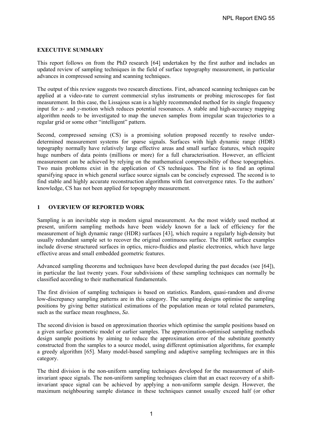# **EXECUTIVE SUMMARY**

This report follows on from the PhD research [64] undertaken by the first author and includes an updated review of sampling techniques in the field of surface topography measurement, in particular advances in compressed sensing and scanning techniques.

The output of this review suggests two research directions. First, advanced scanning techniques can be applied at a video-rate to current commercial stylus instruments or probing microscopes for fast measurement. In this case, the Lissajous scan is a highly recommended method for its single frequency input for *x*- and *y*-motion which reduces potential resonances. A stable and high-accuracy mapping algorithm needs to be investigated to map the uneven samples from irregular scan trajectories to a regular grid or some other "intelligent" pattern.

Second, compressed sensing (CS) is a promising solution proposed recently to resolve underdetermined measurement systems for sparse signals. Surfaces with high dynamic range (HDR) topography normally have relatively large effective areas and small surface features, which require huge numbers of data points (millions or more) for a full characterisation. However, an efficient measurement can be achieved by relying on the mathematical compressibility of these topographies. Two main problems exist in the application of CS techniques. The first is to find an optimal sparsifying space in which general surface source signals can be concisely expressed. The second is to find stable and highly accurate reconstruction algorithms with fast convergence rates. To the authors' knowledge, CS has not been applied for topography measurement.

## **1 OVERVIEW OF REPORTED WORK**

Sampling is an inevitable step in modern signal measurement. As the most widely used method at present, uniform sampling methods have been widely known for a lack of efficiency for the measurement of high dynamic range (HDR) surfaces [43], which require a regularly high-density but usually redundant sample set to recover the original continuous surface. The HDR surface examples include diverse structured surfaces in optics, micro-fluidics and plastic electronics, which have large effective areas and small embedded geometric features.

Advanced sampling theorems and techniques have been developed during the past decades (see [64]), in particular the last twenty years. Four subdivisions of these sampling techniques can normally be classified according to their mathematical fundamentals.

The first division of sampling techniques is based on statistics. Random, quasi-random and diverse low-discrepancy sampling patterns are in this category. The sampling designs optimise the sampling positions by giving better statistical estimations of the population mean or total related parameters, such as the surface mean roughness, *Sa*.

The second division is based on approximation theories which optimise the sample positions based on a given surface geometric model or earlier samples. The approximation-optimised sampling methods design sample positions by aiming to reduce the approximation error of the substitute geometry constructed from the samples to a source model, using different optimisation algorithms, for example a greedy algorithm [65]. Many model-based sampling and adaptive sampling techniques are in this category.

The third division is the non-uniform sampling techniques developed for the measurement of shiftinvariant space signals. The non-uniform sampling techniques claim that an exact recovery of a shiftinvariant space signal can be achieved by applying a non-uniform sample design. However, the maximum neighbouring sample distance in these techniques cannot usually exceed half (or other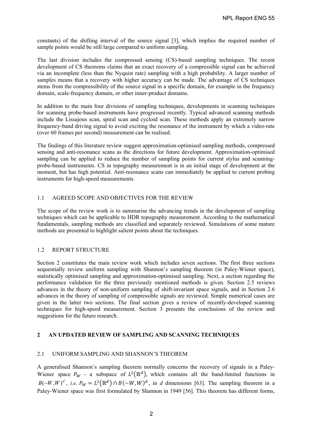constants) of the shifting interval of the source signal [3], which implies the required number of sample points would be still large compared to uniform sampling.

The last division includes the compressed sensing (CS)-based sampling techniques. The recent development of CS theorems claims that an exact recovery of a compressible signal can be achieved via an incomplete (less than the Nyquist rate) sampling with a high probability. A larger number of samples means that a recovery with higher accuracy can be made. The advantage of CS techniques stems from the compressibility of the source signal in a specific domain, for example in the frequency domain, scale-frequency domain, or other inner-product domains.

In addition to the main four divisions of sampling techniques, developments in scanning techniques for scanning probe-based instruments have progressed recently. Typical advanced scanning methods include the Lissajous scan, spiral scan and cycloid scan. These methods apply an extremely narrow frequency-band driving signal to avoid exciting the resonance of the instrument by which a video-rate (over 60 frames per second) measurement can be realised.

The findings of this literature review suggest approximation-optimised sampling methods, compressed sensing and anti-resonance scans as the directions for future development. Approximation-optimised sampling can be applied to reduce the number of sampling points for current stylus and scanningprobe-based instruments. CS in topography measurement is in an initial stage of development at the moment, but has high potential. Anti-resonance scans can immediately be applied to current probing instruments for high-speed measurements.

# 1.1 AGREED SCOPE AND OBJECTIVES FOR THE REVIEW

The scope of the review work is to summarise the advancing trends in the development of sampling techniques which can be applicable to HDR topography measurement. According to the mathematical fundamentals, sampling methods are classified and separately reviewed. Simulations of some mature methods are presented to highlight salient points about the techniques.

#### 1.2 REPORT STRUCTURE

Section 2 constitutes the main review work which includes seven sections. The first three sections sequentially review uniform sampling with Shannon's sampling theorem (in Paley-Wiener space), statistically optimised sampling and approximation-optimised sampling. Next, a section regarding the performance validation for the three previously mentioned methods is given. Section 2.5 reviews advances in the theory of non-uniform sampling of shift-invariant space signals, and in Section 2.6 advances in the theory of sampling of compressible signals are reviewed. Simple numerical cases are given in the latter two sections. The final section gives a review of recently-developed scanning techniques for high-speed measurement. Section 3 presents the conclusions of the review and suggestions for the future research.

# **2 AN UPDATED REVIEW OF SAMPLING AND SCANNING TECHNIQUES**

# 2.1 UNIFORM SAMPLING AND SHANNON'S THEOREM

A generalised Shannon's sampling theorem normally concerns the recovery of signals in a Paley-Wiener space  $P_W$  - a subspace of  $L^2(\mathbb{R}^d)$ , which contains all the band-limited functions in  $B(-W, W)^d$ , *i.e.*  $P_W = L^2(\mathbb{R}^d) \cap B(-W, W)^d$ , in *d* dimensions [63]. The sampling theorem in a Paley-Wiener space was first formulated by Shannon in 1949 [56]. This theorem has different forms,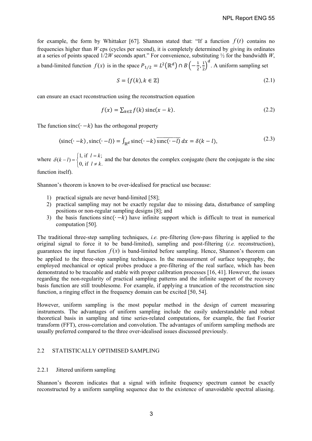for example, the form by Whittaker [67]. Shannon stated that: "If a function  $f(t)$  contains no frequencies higher than *W* cps (cycles per second), it is completely determined by giving its ordinates at a series of points spaced 1/2*W* seconds apart." For convenience, substituting ½ for the bandwidth *W*,

a band-limited function  $f(x)$  is in the space  $P_{1/2} = L^2(\mathbb{R}^d) \cap B\left(-\frac{1}{2}, \frac{1}{2}\right)$  $\left(\frac{1}{2}\right)^d$ . A uniform sampling set

$$
S = \{f(k), k \in \mathbb{Z}\}\tag{2.1}
$$

can ensure an exact reconstruction using the reconstruction equation

$$
f(x) = \sum_{k \in \mathbb{Z}} f(k) \operatorname{sinc}(x - k).
$$
 (2.2)

The function sinc $(· – k)$  has the orthogonal property

$$
\langle \operatorname{sinc}(\cdot - k), \operatorname{sinc}(\cdot - l) \rangle = \int_{\mathbb{R}^d} \operatorname{sinc}(\cdot - k) \overline{\operatorname{sinc}(\cdot - l)} \, dx = \delta(k - l),\tag{2.3}
$$

where  $\delta(k-l) = \begin{cases} 1, & \text{if } l = k \\ 0, & \text{if } l \neq k. \end{cases}$  $\left[0, \text{if } l \neq \emptyset\right]$ and the bar denotes the complex conjugate (here the conjugate is the sinc

function itself).

Shannon's theorem is known to be over-idealised for practical use because:

- 1) practical signals are never band-limited [58];
- 2) practical sampling may not be exactly regular due to missing data, disturbance of sampling positions or non-regular sampling designs [8]; and
- 3) the basis functions sinc $(· k)$  have infinite support which is difficult to treat in numerical computation [50].

The traditional three-step sampling techniques, *i.e.* pre-filtering (low-pass filtering is applied to the original signal to force it to be band-limited), sampling and post-filtering (*i.e.* reconstruction), guarantees the input function  $f(x)$  is band-limited before sampling. Hence, Shannon's theorem can be applied to the three-step sampling techniques. In the measurement of surface topography, the employed mechanical or optical probes produce a pre-filtering of the real surface, which has been demonstrated to be traceable and stable with proper calibration processes [16, 41]. However, the issues regarding the non-regularity of practical sampling patterns and the infinite support of the recovery basis function are still troublesome. For example, if applying a truncation of the reconstruction sinc function, a ringing effect in the frequency domain can be excited [50, 54].

However, uniform sampling is the most popular method in the design of current measuring instruments. The advantages of uniform sampling include the easily understandable and robust theoretical basis in sampling and time series-related computations, for example, the fast Fourier transform (FFT), cross-correlation and convolution. The advantages of uniform sampling methods are usually preferred compared to the three over-idealised issues discussed previously.

#### 2.2 STATISTICALLY OPTIMISED SAMPLING

#### 2.2.1 Jittered uniform sampling

Shannon's theorem indicates that a signal with infinite frequency spectrum cannot be exactly reconstructed by a uniform sampling sequence due to the existence of unavoidable spectral aliasing.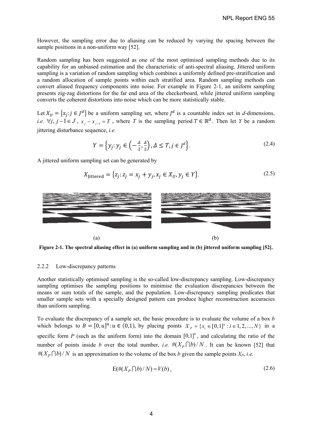However, the sampling error due to aliasing can be reduced by varying the spacing between the sample positions in a non-uniform way [52].

Random sampling has been suggested as one of the most optimised sampling methods due to its capability for an unbiased estimation and the characteristic of anti-spectral aliasing. Jittered uniform sampling is a variation of random sampling which combines a uniformly defined pre-stratification and a random allocation of sample points within each stratified area. Random sampling methods can convert aliased frequency components into noise. For example in Figure 2-1, an uniform sampling presents zig-zag distortions for the far end area of the checkerboard, while jittered uniform sampling converts the coherent distortions into noise which can be more statistically stable.

Let  $X_{ij} = \{x_i : j \in J^d\}$  be a uniform sampling set, where  $J^d$  is a countable index set in *d*-dimensions, *i.e.*  $\forall j, j-1 \in J$ ,  $x_j - x_{j-1} = T$ , where *T* is the sampling period  $T \in \mathbb{R}^d$ . Then let *Y* be a random jittering disturbance sequence, *i.e.*

$$
Y = \left\{ y_j : y_j \in \left( -\frac{\Delta}{2}, \frac{\Delta}{2} \right), \Delta \le T, j \in J^d \right\}.
$$
\n
$$
(2.4)
$$

A jittered uniform sampling set can be generated by

$$
X_{\text{Jittered}} = \{z_j : z_j = x_j + y_j, x_j \in X_U, y_j \in Y\}. \tag{2.5}
$$



**Figure 2-1. The spectral aliasing effect in (a) uniform sampling and in (b) jittered uniform sampling [52].**

#### 2.2.2 Low-discrepancy patterns

Another statistically optimised sampling is the so-called low-discrepancy sampling. Low-discrepancy sampling optimises the sampling positions to minimise the evaluation discrepancies between the means or sum totals of the sample, and the population. Low-discrepancy sampling predicates that smaller sample sets with a specially designed pattern can produce higher reconstruction accuracies than uniform sampling.

To evaluate the discrepancy of a sample set, the basic procedure is to evaluate the volume of a box *b* which belongs to  $B = [0, u]^n : u \in (0,1)$ , by placing points  $X_p = \{x_i \in [0,1]^n : i \in 1, 2,..., N\}$  in a specific form *P* (such as the uniform form) into the domain  $[0,1]^n$ , and calculating the ratio of the number of points inside *b* over the total number, *i.e.*  $\#(X_P \cap b)/N$ . It can be known [52] that  $\#(X_P \cap b)/N$  is an approximation to the volume of the box *b* given the sample points  $X_P$ , *i.e.* 

$$
E(\#(X_P \cap b)/N) = V(b),\tag{2.6}
$$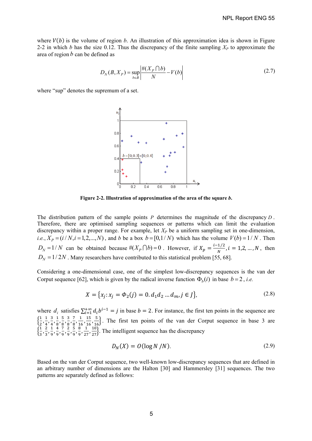where  $V(b)$  is the volume of region *b*. An illustration of this approximation idea is shown in Figure 2-2 in which *b* has the size 0.12. Thus the discrepancy of the finite sampling  $X_P$  to approximate the area of region *b* can be defined as

$$
D_N(B, X_P) = \sup_{b \in B} \left| \frac{\#(X_P \cap b)}{N} - V(b) \right| \tag{2.7}
$$

where "sup" denotes the supremum of a set.



**Figure 2-2. Illustration of approximation of the area of the square** *b***.** 

The distribution pattern of the sample points  $P$  determines the magnitude of the discrepancy  $D$ . Therefore, there are optimised sampling sequences or patterns which can limit the evaluation discrepancy within a proper range. For example, let *XP* be a uniform sampling set in one-dimension, *i.e.*,  $X_p = (i / N, i = 1, 2, ..., N)$ , and *b* be a box  $b = [0, 1 / N)$  which has the volume  $V(b) = 1 / N$ . Then  $D_N = 1/N$  can be obtained because  $\#(X_P \cap b) = 0$ . However, if  $X_p = \frac{i - 1/2}{N}$ ,  $i = 1, 2, ..., N$ , then  $D<sub>N</sub> = 1/2N$ . Many researchers have contributed to this statistical problem [55, 68].

Considering a one-dimensional case, one of the simplest low-discrepancy sequences is the van der Corput sequence [62], which is given by the radical inverse function  $\Phi_h(i)$  in base  $b = 2$ , *i.e.* 

$$
X = \{x_j : x_j = \Phi_2(j) = 0, d_1 d_2 \dots d_m, j \in J\},\tag{2.8}
$$

where  $d_i$  satisfies  $\sum_{i=1}^{+\infty} d_i b^{i-1} = j$  in base  $b = 2$ . For instance, the first ten points in the sequence are  $\left\{\frac{1}{2}, \frac{1}{4}, \frac{3}{4}, \frac{1}{8}, \frac{5}{8}, \frac{3}{8}, \frac{7}{8}, \frac{1}{16}, \frac{15}{16}, \frac{5}{16}\right\}$ . The first ten points of the van der Corput sequence in base 3 are  $\left\{\frac{1}{3}, \frac{2}{3}, \frac{1}{9}, \frac{4}{9}, \frac{7}{9}, \frac{2}{9}, \frac{5}{9}, \frac{8}{27}, \frac{1}{27}\right\}$ . The intelligent sequence has the discrepancy

$$
D_N(X) = O(\log N / N). \tag{2.9}
$$

Based on the van der Corput sequence, two well-known low-discrepancy sequences that are defined in an arbitrary number of dimensions are the Halton [30] and Hammersley [31] sequences. The two patterns are separately defined as follows: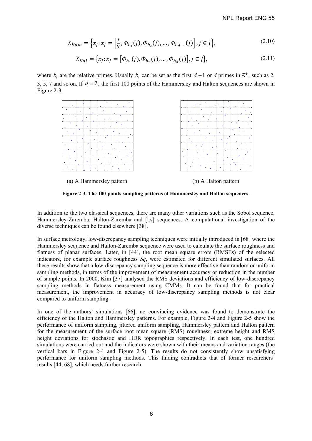$$
X_{Ham} = \left\{ x_j : x_j = \left[ \frac{j}{N}, \Phi_{b_1}(j), \Phi_{b_2}(j), \dots, \Phi_{b_{d-1}}(j) \right], j \in J \right\},\tag{2.10}
$$

$$
X_{Hal} = \{x_j : x_j = [\Phi_{b_1}(j), \Phi_{b_2}(j), \dots, \Phi_{b_d}(j)], j \in J\},
$$
\n(2.11)

where  $b_i$  are the relative primes. Usually  $b_i$  can be set as the first  $d-1$  or  $d$  primes in  $\mathbb{Z}^+$ , such as 2, 3, 5, 7 and so on. If  $d = 2$ , the first 100 points of the Hammersley and Halton sequences are shown in Figure 2-3.



**Figure 2-3. The 100-points sampling patterns of Hammersley and Halton sequences.** 

In addition to the two classical sequences, there are many other variations such as the Sobol sequence, Hammersley-Zaremba, Halton-Zaremba and [t,s] sequences. A computational investigation of the diverse techniques can be found elsewhere [38].

In surface metrology, low-discrepancy sampling techniques were initially introduced in [68] where the Hammersley sequence and Halton-Zaremba sequence were used to calculate the surface roughness and flatness of planar surfaces. Later, in [44], the root mean square errors (RMSEs) of the selected indicators, for example surface roughness *Sq*, were estimated for different simulated surfaces. All these results show that a low-discrepancy sampling sequence is more effective than random or uniform sampling methods, in terms of the improvement of measurement accuracy or reduction in the number of sample points. In 2000, Kim [37] analysed the RMS deviations and efficiency of low-discrepancy sampling methods in flatness measurement using CMMs. It can be found that for practical measurement, the improvement in accuracy of low-discrepancy sampling methods is not clear compared to uniform sampling.

In one of the authors' simulations [66], no convincing evidence was found to demonstrate the efficiency of the Halton and Hammersley patterns. For example, Figure 2-4 and Figure 2-5 show the performance of uniform sampling, jittered uniform sampling, Hammersley pattern and Halton pattern for the measurement of the surface root mean square (RMS) roughness, extreme height and RMS height deviations for stochastic and HDR topographies respectively. In each test, one hundred simulations were carried out and the indicators were shown with their means and variation ranges (the vertical bars in Figure 2-4 and Figure 2-5). The results do not consistently show unsatisfying performance for uniform sampling methods. This finding contradicts that of former researchers' results [44, 68], which needs further research.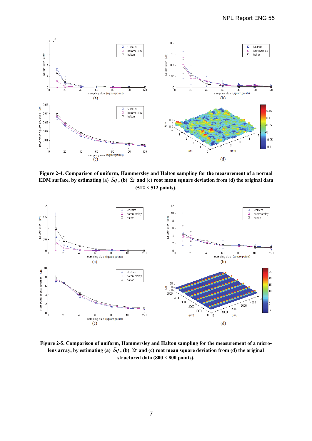

**Figure 2-4. Comparison of uniform, Hammersley and Halton sampling for the measurement of a normal EDM surface, by estimating (a)** *Sq* **, (b)** *Sz* **and (c) root mean square deviation from (d) the original data (512 × 512 points).** 



**Figure 2-5. Comparison of uniform, Hammersley and Halton sampling for the measurement of a micro**lens array, by estimating (a)  $Sq$ , (b)  $\mathcal{S}z$  and (c) root mean square deviation from (d) the original **structured data (800 × 800 points).**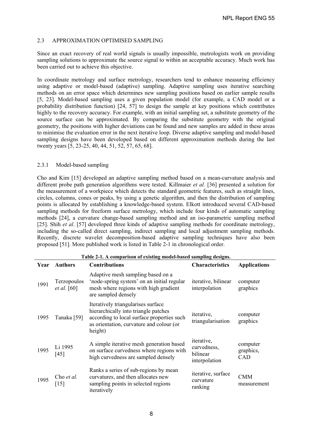# 2.3 APPROXIMATION OPTIMISED SAMPLING

Since an exact recovery of real world signals is usually impossible, metrologists work on providing sampling solutions to approximate the source signal to within an acceptable accuracy. Much work has been carried out to achieve this objective.

In coordinate metrology and surface metrology, researchers tend to enhance measuring efficiency using adaptive or model-based (adaptive) sampling. Adaptive sampling uses iterative searching methods on an error space which determines new sampling positions based on earlier sample results [5, 23]. Model-based sampling uses a given population model (for example, a CAD model or a probability distribution function) [24, 57] to design the sample at key positions which contributes highly to the recovery accuracy. For example, with an initial sampling set, a substitute geometry of the source surface can be approximated. By comparing the substitute geometry with the original geometry, the positions with higher deviations can be found and new samples are added in these areas to minimise the evaluation error in the next iterative loop. Diverse adaptive sampling and model-based sampling designs have been developed based on different approximation methods during the last twenty years [5, 23-25, 40, 44, 51, 52, 57, 65, 68].

#### 2.3.1 Model-based sampling

Cho and Kim [15] developed an adaptive sampling method based on a mean-curvature analysis and different probe path generation algorithms were tested. Killmaier *et al.* [36] presented a solution for the measurement of a workpiece which detects the standard geometric features, such as straight lines, circles, columns, cones or peaks, by using a genetic algorithm, and then the distribution of sampling points is allocated by establishing a knowledge-based system. Elkott introduced several CAD-based sampling methods for freeform surface metrology, which include four kinds of automatic sampling methods [24], a curvature change-based sampling method and an iso-parametric sampling method [25]. Shih *et al.* [57] developed three kinds of adaptive sampling methods for coordinate metrology, including the so-called direct sampling, indirect sampling and local adjustment sampling methods. Recently, discrete wavelet decomposition-based adaptive sampling techniques have also been proposed [51]. More published work is listed in Table 2-1 in chronological order.

| Year | <b>Authors</b>                    | <b>Contributions</b>                                                                                                                                                            | <b>Characteristics</b>                                        | <b>Applications</b>          |
|------|-----------------------------------|---------------------------------------------------------------------------------------------------------------------------------------------------------------------------------|---------------------------------------------------------------|------------------------------|
| 1991 | Terzopoulos<br><i>et al.</i> [60] | Adaptive mesh sampling based on a<br>'node-spring system' on an initial regular<br>mesh where regions with high gradient<br>are sampled densely                                 | iterative, bilinear<br>interpolation                          | computer<br>graphics         |
| 1995 | Tanaka [59]                       | Iteratively triangularises surface<br>hierarchically into triangle patches<br>according to local surface properties such<br>as orientation, curvature and colour (or<br>height) | <i>iterative,</i><br>triangularisation                        | computer<br>graphics         |
| 1995 | Li 1995<br>[45]                   | A simple iterative mesh generation based<br>on surface curvedness where regions with<br>high curvedness are sampled densely                                                     | <i>iterative,</i><br>curvedness,<br>bilinear<br>interpolation | computer<br>graphics,<br>CAD |
| 1995 | Cho et al.<br>[15]                | Ranks a series of sub-regions by mean<br>curvatures, and then allocates new<br>sampling points in selected regions<br>iteratively                                               | iterative, surface<br>curvature<br>ranking                    | <b>CMM</b><br>measurement    |

#### **Table 2-1. A comparison of existing model-based sampling designs.**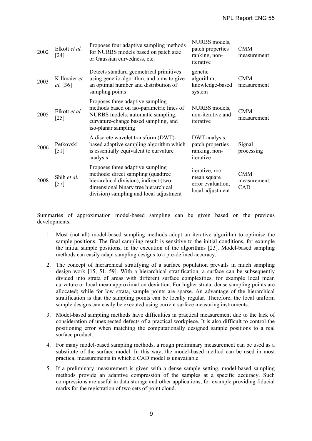| 2002 | Elkott et al.<br>$\lceil 24 \rceil$ | Proposes four adaptive sampling methods<br>for NURBS models based on patch size<br>or Gaussian curvedness, etc.                                                                                      | NURBS models,<br>patch properties<br>ranking, non-<br>iterative         | <b>CMM</b><br>measurement         |
|------|-------------------------------------|------------------------------------------------------------------------------------------------------------------------------------------------------------------------------------------------------|-------------------------------------------------------------------------|-----------------------------------|
| 2003 | Killmaier et<br>al. [36]            | Detects standard geometrical primitives<br>using genetic algorithm, and aims to give<br>an optimal number and distribution of<br>sampling points                                                     | genetic<br>algorithm,<br>knowledge-based<br>system                      | <b>CMM</b><br>measurement         |
| 2005 | Elkott et al.<br>$\lceil 25 \rceil$ | Proposes three adaptive sampling<br>methods based on iso-parametric lines of<br>NURBS models: automatic sampling,<br>curvature-change based sampling, and<br>iso-planar sampling                     | NURBS models,<br>non-iterative and<br>iterative                         | <b>CMM</b><br>measurement         |
| 2006 | Petkovski<br>$\lceil 51 \rceil$     | A discrete wavelet transform (DWT)-<br>based adaptive sampling algorithm which<br>is essentially equivalent to curvature<br>analysis                                                                 | DWT analysis,<br>patch properties<br>ranking, non-<br>iterative         | Signal<br>processing              |
| 2008 | Shih et al.<br>$[57]$               | Proposes three adaptive sampling<br>methods: direct sampling (quadtree)<br>hierarchical division), indirect (two-<br>dimensional binary tree hierarchical<br>division) sampling and local adjustment | iterative, root<br>mean square<br>error evaluation,<br>local adjustment | <b>CMM</b><br>measurement,<br>CAD |

Summaries of approximation model-based sampling can be given based on the previous developments.

- 1. Most (not all) model-based sampling methods adopt an iterative algorithm to optimise the sample positions. The final sampling result is sensitive to the initial conditions, for example the initial sample positions, in the execution of the algorithms [23]. Model-based sampling methods can easily adapt sampling designs to a pre-defined accuracy.
- 2. The concept of hierarchical stratifying of a surface population prevails in much sampling design work [15, 51, 59]. With a hierarchical stratification, a surface can be subsequently divided into strata of areas with different surface complexities, for example local mean curvature or local mean approximation deviation. For higher strata, dense sampling points are allocated; while for low strata, sample points are sparse. An advantage of the hierarchical stratification is that the sampling points can be locally regular. Therefore, the local uniform sample designs can easily be executed using current surface measuring instruments.
- 3. Model-based sampling methods have difficulties in practical measurement due to the lack of consideration of unexpected defects of a practical workpiece. It is also difficult to control the positioning error when matching the computationally designed sample positions to a real surface product.
- 4. For many model-based sampling methods, a rough preliminary measurement can be used as a substitute of the surface model. In this way, the model-based method can be used in most practical measurements in which a CAD model is unavailable.
- 5. If a preliminary measurement is given with a dense sample setting, model-based sampling methods provide an adaptive compression of the samples at a specific accuracy. Such compressions are useful in data storage and other applications, for example providing fiducial marks for the registration of two sets of point cloud.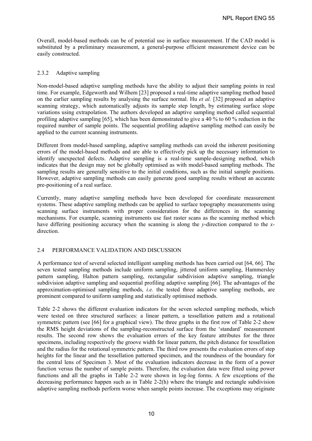Overall, model-based methods can be of potential use in surface measurement. If the CAD model is substituted by a preliminary measurement, a general-purpose efficient measurement device can be easily constructed.

#### 2.3.2 Adaptive sampling

Non-model-based adaptive sampling methods have the ability to adjust their sampling points in real time. For example, Edgeworth and Wilhem [23] proposed a real-time adaptive sampling method based on the earlier sampling results by analysing the surface normal. Hu *et al.* [32] proposed an adaptive scanning strategy, which automatically adjusts its sample step length, by estimating surface slope variations using extrapolation. The authors developed an adaptive sampling method called sequential profiling adaptive sampling [65], which has been demonstrated to give a 40 % to 60 % reduction in the required number of sample points. The sequential profiling adaptive sampling method can easily be applied to the current scanning instruments.

Different from model-based sampling, adaptive sampling methods can avoid the inherent positioning errors of the model-based methods and are able to effectively pick up the necessary information to identify unexpected defects. Adaptive sampling is a real-time sample-designing method, which indicates that the design may not be globally optimised as with model-based sampling methods. The sampling results are generally sensitive to the initial conditions, such as the initial sample positions. However, adaptive sampling methods can easily generate good sampling results without an accurate pre-positioning of a real surface.

Currently, many adaptive sampling methods have been developed for coordinate measurement systems. These adaptive sampling methods can be applied to surface topography measurements using scanning surface instruments with proper consideration for the differences in the scanning mechanisms. For example, scanning instruments use fast raster scans as the scanning method which have differing positioning accuracy when the scanning is along the *y*-direction compared to the *x*direction.

# 2.4 PERFORMANCE VALIDATION AND DISCUSSION

A performance test of several selected intelligent sampling methods has been carried out [64, 66]. The seven tested sampling methods include uniform sampling, jittered uniform sampling, Hammersley pattern sampling, Halton pattern sampling, rectangular subdivision adaptive sampling, triangle subdivision adaptive sampling and sequential profiling adaptive sampling [66]. The advantages of the approximation-optimised sampling methods, *i.e.* the tested three adaptive sampling methods, are prominent compared to uniform sampling and statistically optimised methods.

Table 2-2 shows the different evaluation indicators for the seven selected sampling methods, which were tested on three structured surfaces: a linear pattern, a tessellation pattern and a rotational symmetric pattern (see [66] for a graphical view). The three graphs in the first row of Table 2-2 show the RMS height deviations of the sampling-reconstructed surface from the 'standard' measurement results. The second row shows the evaluation errors of the key feature attributes for the three specimens, including respectively the groove width for linear pattern, the pitch distance for tessellation and the radius for the rotational symmetric pattern. The third row presents the evaluation errors of step heights for the linear and the tessellation patterned specimen, and the roundness of the boundary for the central lens of Specimen 3. Most of the evaluation indicators decrease in the form of a power function versus the number of sample points. Therefore, the evaluation data were fitted using power functions and all the graphs in Table 2-2 were shown in log-log forms. A few exceptions of the decreasing performance happen such as in Table 2-2(h) where the triangle and rectangle subdivision adaptive sampling methods perform worse when sample points increase. The exceptions may originate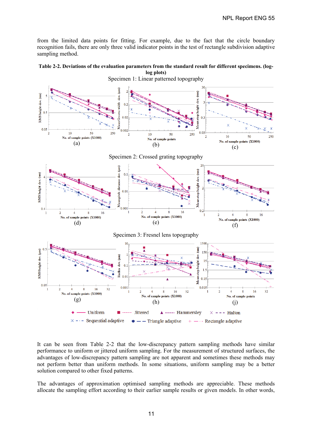from the limited data points for fitting. For example, due to the fact that the circle boundary recognition fails, there are only three valid indicator points in the test of rectangle subdivision adaptive sampling method.





It can be seen from Table 2-2 that the low-discrepancy pattern sampling methods have similar performance to uniform or jittered uniform sampling. For the measurement of structured surfaces, the advantages of low-discrepancy pattern sampling are not apparent and sometimes these methods may not perform better than uniform methods. In some situations, uniform sampling may be a better solution compared to other fixed patterns.

The advantages of approximation optimised sampling methods are appreciable. These methods allocate the sampling effort according to their earlier sample results or given models. In other words,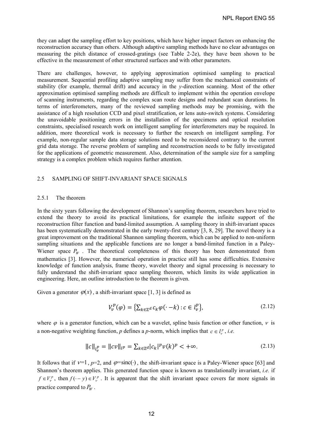they can adapt the sampling effort to key positions, which have higher impact factors on enhancing the reconstruction accuracy than others. Although adaptive sampling methods have no clear advantages on measuring the pitch distance of crossed-gratings (see Table 2-2e), they have been shown to be effective in the measurement of other structured surfaces and with other parameters.

There are challenges, however, to applying approximation optimised sampling to practical measurement. Sequential profiling adaptive sampling may suffer from the mechanical constraints of stability (for example, thermal drift) and accuracy in the *y*-direction scanning. Most of the other approximation optimised sampling methods are difficult to implement within the operation envelope of scanning instruments, regarding the complex scan route designs and redundant scan durations. In terms of interferometers, many of the reviewed sampling methods may be promising, with the assistance of a high resolution CCD and pixel stratification, or lens auto-switch systems. Considering the unavoidable positioning errors in the installation of the specimens and optical resolution constraints, specialised research work on intelligent sampling for interferometers may be required. In addition, more theoretical work is necessary to further the research on intelligent sampling. For example, non-regular sample data storage solutions need to be reconsidered contrary to the current grid data storage. The reverse problem of sampling and reconstruction needs to be fully investigated for the applications of geometric measurement. Also, determination of the sample size for a sampling strategy is a complex problem which requires further attention.

# 2.5 SAMPLING OF SHIFT-INVARIANT SPACE SIGNALS

#### 2.5.1 The theorem

In the sixty years following the development of Shannon's sampling theorem, researchers have tried to extend the theory to avoid its practical limitations, for example the infinite support of the reconstruction filter function and band-limited assumption. A sampling theory in shift-invariant spaces has been systematically demonstrated in the early twenty-first century [3, 8, 29]. The novel theory is a great improvement on the traditional Shannon sampling theorem, which can be applied to non-uniform sampling situations and the applicable functions are no longer a band-limited function in a Paley-Wiener space  $P_W$ . The theoretical completeness of this theory has been demonstrated from mathematics [3]. However, the numerical operation in practice still has some difficulties. Extensive knowledge of function analysis, frame theory, wavelet theory and signal processing is necessary to fully understand the shift-invariant space sampling theorem, which limits its wide application in engineering. Here, an outline introduction to the theorem is given.

Given a generator  $\varphi(x)$ , a shift-invariant space [1, 3] is defined as

$$
V_v^p(\varphi) = \left\{ \sum_{k \in \mathbb{Z}^d} c_k \varphi(\cdot - k) : c \in l_v^p \right\},\tag{2.12}
$$

where  $\varphi$  is a generator function, which can be a wavelet, spline basis function or other function,  $\nu$  is a non-negative weighting function, *p* defines a *p*-norm, which implies that  $c \in l_v^p$ , *i.e.* 

$$
||c||_{l_v^p} = ||cv||_{l^p} = \sum_{k \in \mathbb{Z}^d} |c_k|^p v(k)^p < +\infty.
$$
 (2.13)

It follows that if  $v=1$ ,  $p=2$ , and  $\varphi = \text{sinc}(\cdot)$ , the shift-invariant space is a Paley-Wiener space [63] and Shannon's theorem applies. This generated function space is known as translationally invariant, *i.e.* if  $f \in V_v^p$ , then  $f(-y) \in V_v^p$ . It is apparent that the shift invariant space covers far more signals in practice compared to  $P_W$ .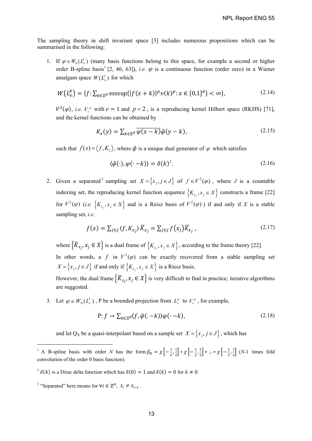The sampling theory in shift invariant space [3] includes numerous propositions which can be summarised in the following:

1. If  $\varphi \in W_0(L^1)$  (many basis functions belong to this space, for example a second or higher order B-spline basis<sup>1</sup> [2, 46, 63]), *i.e.*  $\varphi$  is a continuous function (order zero) in a Wiener amalgam space  $W(L)$  for which

$$
W(L_v^p) = \{ f : \sum_{k \in \mathbb{Z}^d} \text{esssup} \{ |f(x+k)|^p v(k)^p : x \in [0,1]^d \} < \infty \},\tag{2.14}
$$

 $V^2(\varphi)$ , *i.e.*  $V^p_\nu$  with  $\nu = 1$  and  $p = 2$ , is a reproducing kernel Hilbert space (RKHS) [71], and the kernel functions can be obtained by

$$
K_{\chi}(y) = \sum_{k \in \mathbb{Z}^d} \overline{\varphi(x-k)} \tilde{\varphi}(y-k), \qquad (2.15)
$$

such that  $f(x) = \langle f, K_x \rangle$ , where  $\tilde{\varphi}$  is a unique dual generator of  $\varphi$  which satisfies

$$
\langle \tilde{\varphi}(\cdot), \varphi(\cdot - k) \rangle = \delta(k)^2. \tag{2.16}
$$

2. Given a separated 3 sampling set  $X = \{x_i, j \in J\}$  of  $f \in V^2(\varphi)$ , where *J* is a countable indexing set, the reproducing kernel function sequence  $\{K_{x_i}, x_j \in X\}$  constructs a frame [22] for  $V^2(\varphi)$  (*i.e.*  $\{K_{x_j}, x_j \in X\}$  and is a Reisz basis of  $V^2(\varphi)$ ) if and only if *X* is a stable sampling set, *i.e.*

$$
f(x) = \sum_{j \in J} \langle f, K_{x_j} \rangle \widetilde{K}_{x_j} = \sum_{j \in J} f(x_j) \widetilde{K}_{x_j}, \qquad (2.17)
$$

where  $\{ \widetilde{K}_{x_j}, x_j \in X \}$  is a dual frame of  $\{ K_{x_j}, x_j \in X \}$ , according to the frame theory [22]. In other words, a *f* in  $V^2(\varphi)$  can be exactly recovered from a stable sampling set  $X = \{x_j, j \in J\}$  if and only if  $\{K_{x_j}, x_j \in X\}$  is a Riesz basis.

However, the dual frame  $\{ \widetilde{K}_{x_j}, x_j \in X \}$  is very difficult to find in practice; iterative algorithms are suggested.

3. Let  $\varphi \in W_0(L^1_\nu)$ , P be a bounded projection from  $L^p_\nu$  to  $V^p_\nu$ , for example,

$$
P: f \to \sum_{k \in \mathbb{Z}^d} \langle f, \tilde{\varphi}(-k) \rangle \varphi(\cdot - k), \tag{2.18}
$$

and let Q<sub>X</sub> be a quasi-interpolant based on a sample set  $X = \{x_j, j \in J\}$ , which has

1

<sup>&</sup>lt;sup>1</sup> A B-spline basis with order *N* has the form  $\beta_N = \chi \left[ -\frac{1}{2}, \frac{1}{2} \right]$  $\frac{1}{2}$  \*  $\chi$   $\left[-\frac{1}{2},\frac{1}{2}\right]$  $\frac{1}{2}$  \* ... \*  $\chi$   $\left[-\frac{1}{2},\frac{1}{2}\right]$  $\frac{1}{2}$  (*N*-1 times fold convolution of the order 0 basis function).

<sup>&</sup>lt;sup>2</sup>  $\delta(k)$  is a Dirac delta function which has  $\delta(0) = 1$  and  $\delta(k) = 0$  for  $k \neq 0$ .

<sup>&</sup>lt;sup>3</sup> "Separated" here means for  $\forall i \in \mathbb{Z}^d$ ,  $x_i \neq x_{i+1}$ .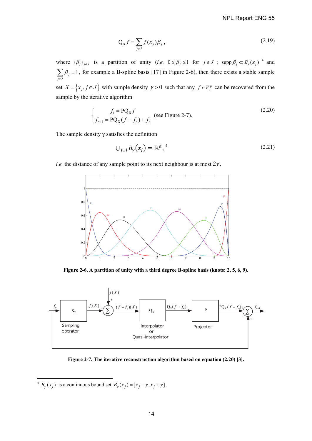$$
Q_X f = \sum_{j \in J} f(x_j) \beta_j, \qquad (2.19)
$$

where  $\{\beta_j\}_{j\in J}$  is a partition of unity (*i.e.*  $0 \le \beta_j \le 1$  for  $j \in J$ ; supp  $\beta_j \subset B_{\gamma}(x_j)$ <sup>4</sup> and  $_{j} = 1$ *j J*  $_{\beta}$  $\sum_{j \in J} \beta_j = 1$ , for example a B-spline basis [17] in Figure 2-6), then there exists a stable sample set  $X = \{x_j, j \in J\}$  with sample density  $\gamma > 0$  such that any  $f \in V_v^p$  can be recovered from the sample by the iterative algorithm

$$
\begin{cases}\nf_1 = PQ_X f \\
f_{n+1} = PQ_X (f - f_n) + f_n\n\end{cases}
$$
 (see Figure 2-7). (2.20)

The sample density  $\gamma$  satisfies the definition

$$
\bigcup_{j \in J} B_{\gamma}\big(x_j\big) = \mathbb{R}^d, \qquad (2.21)
$$

*i.e.* the distance of any sample point to its next neighbour is at most  $2\gamma$ .



**Figure 2-6. A partition of unity with a third degree B-spline basis (knots: 2, 5, 6, 9).** 



**Figure 2-7. The iterative reconstruction algorithm based on equation (2.20) [3].** 

-

<sup>&</sup>lt;sup>4</sup>  $B_{\gamma}(x_j)$  is a continuous bound set  $B_{\gamma}(x_j) = [x_j - \gamma, x_j + \gamma]$ .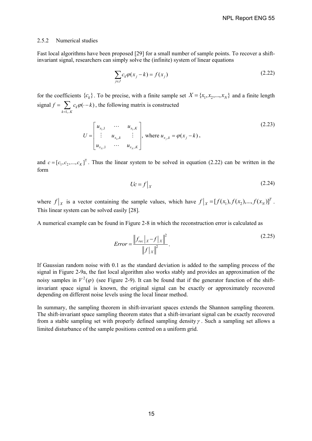#### 2.5.2 Numerical studies

Fast local algorithms have been proposed [29] for a small number of sample points. To recover a shiftinvariant signal, researchers can simply solve the (infinite) system of linear equations

$$
\sum_{j \in J} c_k \varphi(x_j - k) = f(x_j) \tag{2.22}
$$

for the coefficients  ${c_k}$ . To be precise, with a finite sample set  $X = {x_1, x_2, ..., x_N}$  and a finite length signal 1,..  $\kappa \varphi(\cdot - k)$  $k = 1,..K$  $f = \sum c_k \varphi(\cdot - k)$  $=\sum_{k=1...K} c_k \varphi(\cdot - k)$ , the following matrix is constructed

$$
U = \begin{bmatrix} u_{x_1,1} & \cdots & u_{x_i,K} \\ \vdots & u_{x_n,k} & \vdots \\ u_{x_N,1} & \cdots & u_{x_N,K} \end{bmatrix}, \text{ where } u_{x_j,k} = \varphi(x_j - k),
$$
 (2.23)

and  $c = [c_1, c_2, ..., c_K]$ <sup>T</sup>. Thus the linear system to be solved in equation (2.22) can be written in the form

$$
Uc = f|_X \tag{2.24}
$$

where  $f|_X$  is a vector containing the sample values, which have  $f|_X = [f(x_1), f(x_2),..., f(x_N)]^T$ . This linear system can be solved easily [28].

A numerical example can be found in Figure 2-8 in which the reconstruction error is calculated as

$$
Error = \frac{\left\|f_{rec}\right|_{X} - f\left|_{X}\right\|^{2}}{\left\|f\right|_{X}\right\|^{2}}.
$$
\n(2.25)

If Gaussian random noise with 0.1 as the standard deviation is added to the sampling process of the signal in Figure 2-9a, the fast local algorithm also works stably and provides an approximation of the noisy samples in  $V^2(\varphi)$  (see Figure 2-9). It can be found that if the generator function of the shiftinvariant space signal is known, the original signal can be exactly or approximately recovered depending on different noise levels using the local linear method.

In summary, the sampling theorem in shift-invariant spaces extends the Shannon sampling theorem. The shift-invariant space sampling theorem states that a shift-invariant signal can be exactly recovered from a stable sampling set with properly defined sampling density  $\gamma$ . Such a sampling set allows a limited disturbance of the sample positions centred on a uniform grid.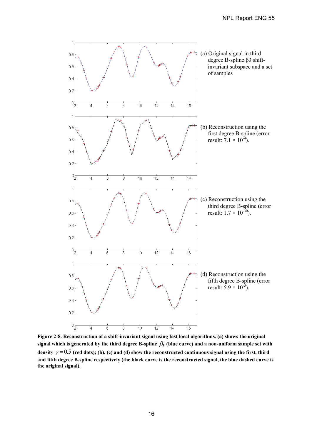

**Figure 2-8. Reconstruction of a shift-invariant signal using fast local algorithms. (a) shows the original**  signal which is generated by the third degree B-spline  $\beta_3$  (blue curve) and a non-uniform sample set with density  $\gamma = 0.5$  (red dots); (b), (c) and (d) show the reconstructed continuous signal using the first, third **and fifth degree B-spline respectively (the black curve is the reconstructed signal, the blue dashed curve is the original signal).**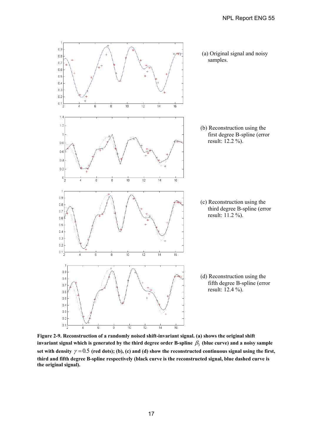

**Figure 2-9. Reconstruction of a randomly noised shift-invariant signal. (a) shows the original shift**  invariant signal which is generated by the third degree order B-spline  $\beta_3$  (blue curve) and a noisy sample set with density  $\gamma = 0.5$  (red dots); (b), (c) and (d) show the reconstructed continuous signal using the first, **third and fifth degree B-spline respectively (black curve is the reconstructed signal, blue dashed curve is the original signal).**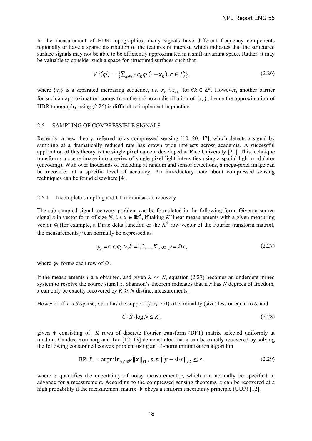In the measurement of HDR topographies, many signals have different frequency components regionally or have a sparse distribution of the features of interest, which indicates that the structured surface signals may not be able to be efficiently approximated in a shift-invariant space. Rather, it may be valuable to consider such a space for structured surfaces such that

$$
V^2(\varphi) = \left\{ \sum_{k \in \mathbb{Z}^d} c_k \varphi \left( \cdot - x_k \right), c \in l_{\nu}^p \right\}.
$$
 (2.26)

where  $\{x_k\}$  is a separated increasing sequence, *i.e.*  $x_k < x_{k+1}$  for  $\forall k \in \mathbb{Z}^d$ . However, another barrier for such an approximation comes from the unknown distribution of  $\{x_k\}$ , hence the approximation of HDR topography using (2.26) is difficult to implement in practice.

#### 2.6 SAMPLING OF COMPRESSIBLE SIGNALS

Recently, a new theory, referred to as compressed sensing [10, 20, 47], which detects a signal by sampling at a dramatically reduced rate has drawn wide interests across academia. A successful application of this theory is the single pixel camera developed at Rice University [21]. This technique transforms a scene image into a series of single pixel light intensities using a spatial light modulator (encoding). With over thousands of encoding at random and sensor detections, a mega-pixel image can be recovered at a specific level of accuracy. An introductory note about compressed sensing techniques can be found elsewhere [4].

#### 2.6.1 Incomplete sampling and L1-minimisation recovery

The sub-sampled signal recovery problem can be formulated in the following form. Given a source signal *x* in vector form of size *N*, *i.e.*  $x \in \mathbb{R}^N$ , if taking *K* linear measurements with a given measuring vector  $\varphi_k$  (for example, a Dirac delta function or the  $K^{\text{th}}$  row vector of the Fourier transform matrix), the measurements  $y$  can normally be expressed as

$$
y_k = \langle x, \varphi_k \rangle, k = 1, 2, \dots, K, \text{ or } y = \Phi x,
$$
 (2.27)

where  $\varphi_k$  forms each row of  $\Phi$ .

If the measurements *y* are obtained, and given  $K \ll N$ , equation (2.27) becomes an underdetermined system to resolve the source signal *x*. Shannon's theorem indicates that if *x* has *N* degrees of freedom, *x* can only be exactly recovered by  $K \geq N$  distinct measurements.

However, if *x* is *S*-sparse, *i.e. x* has the support  $\{i: x_i \neq 0\}$  of cardinality (size) less or equal to *S*, and

$$
C \cdot S \cdot \log N \le K \tag{2.28}
$$

given consisting of *K* rows of discrete Fourier transform (DFT) matrix selected uniformly at random, Candes, Romberg and Tao [12, 13] demonstrated that *x* can be exactly recovered by solving the following constrained convex problem using an L1-norm minimisation algorithm

$$
BP: \hat{x} = \operatorname{argmin}_{x \in \mathbb{R}^N} \|x\|_{l_1}, s.t. \|y - \Phi x\|_{l_2} \le \varepsilon,
$$
\n(2.29)

where  $\varepsilon$  quantifies the uncertainty of noisy measurement *y*, which can normally be specified in advance for a measurement. According to the compressed sensing theorems, *x* can be recovered at a high probability if the measurement matrix  $\Phi$  obeys a uniform uncertainty principle (UUP) [12].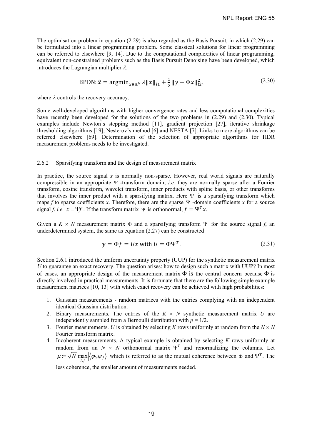The optimisation problem in equation (2.29) is also regarded as the Basis Pursuit, in which (2.29) can be formulated into a linear programming problem. Some classical solutions for linear programming can be referred to elsewhere [9, 14]. Due to the computational complexities of linear programming, equivalent non-constrained problems such as the Basis Pursuit Denoising have been developed, which introduces the Lagrangian multiplier  $\lambda$ :

$$
BPDN: \hat{x} = \operatorname{argmin}_{x \in \mathbb{R}^N} \lambda \|x\|_{l1} + \frac{1}{2} \|y - \Phi x\|_{l2}^2,
$$
 (2.30)

where  $\lambda$  controls the recovery accuracy.

Some well-developed algorithms with higher convergence rates and less computational complexities have recently been developed for the solutions of the two problems in (2.29) and (2.30). Typical examples include Newton's stepping method [11], gradient projection [27], iterative shrinkage thresholding algorithms [19], Nesterov's method [6] and NESTA [7]. Links to more algorithms can be referred elsewhere [69]. Determination of the selection of appropriate algorithms for HDR measurement problems needs to be investigated.

#### 2.6.2 Sparsifying transform and the design of measurement matrix

In practice, the source signal x is normally non-sparse. However, real world signals are naturally compressible in an appropriate  $\Psi$  -transform domain, *i.e.* they are normally sparse after a Fourier transform, cosine transform, wavelet transform, inner products with spline basis, or other transforms that involves the inner product with a sparsifying matrix. Here  $\Psi$  is a sparsifying transform which maps  $f$  to sparse coefficients  $x$ . Therefore, there are the sparse  $\Psi$  -domain coefficients  $x$  for a source signal *f*, *i.e.*  $x = \Psi f$ . If the transform matrix  $\Psi$  is orthonormal,  $f = \Psi^T x$ .

Given a  $K \times N$  measurement matrix  $\Phi$  and a sparsifying transform  $\Psi$  for the source signal *f*, an underdetermined system, the same as equation (2.27) can be constructed

$$
y = \Phi f = Ux \text{ with } U = \Phi \Psi^T. \tag{2.31}
$$

Section 2.6.1 introduced the uniform uncertainty property (UUP) for the synthetic measurement matrix *U* to guarantee an exact recovery. The question arises: how to design such a matrix with UUP? In most of cases, an appropriate design of the measurement matrix  $\Phi$  is the central concern because  $\Phi$  is directly involved in practical measurements. It is fortunate that there are the following simple example measurement matrices [10, 13] with which exact recovery can be achieved with high probabilities:

- 1. Gaussian measurements random matrices with the entries complying with an independent identical Gaussian distribution.
- 2. Binary measurements. The entries of the  $K \times N$  synthetic measurement matrix *U* are independently sampled from a Bernoulli distribution with  $p = 1/2$ .
- 3. Fourier measurements. *U* is obtained by selecting *K* rows uniformly at random from the  $N \times N$ Fourier transform matrix.
- 4. Incoherent measurements. A typical example is obtained by selecting *K* rows uniformly at random from an  $N \times N$  orthonormal matrix  $\Psi^T$  and renormalizing the columns. Let  $\mu = \sqrt{N} \max_{i,j} |\langle \varphi_i, \psi_j \rangle|$  which is referred to as the mutual coherence between  $\Phi$  and  $\Psi^T$ . The

less coherence, the smaller amount of measurements needed.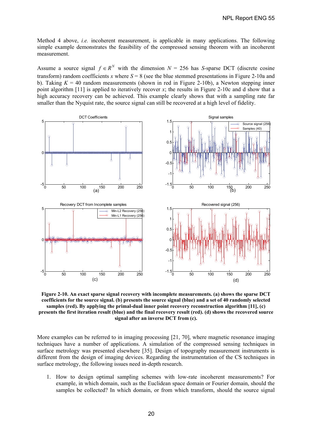Method 4 above, *i.e.* incoherent measurement, is applicable in many applications. The following simple example demonstrates the feasibility of the compressed sensing theorem with an incoherent measurement.

Assume a source signal  $f \in R^N$  with the dimension  $N = 256$  has *S*-sparse DCT (discrete cosine transform) random coefficients *x* where  $S = 8$  (see the blue stemmed presentations in Figure 2-10a and b). Taking  $K = 40$  random measurements (shown in red in Figure 2-10b), a Newton stepping inner point algorithm [11] is applied to iteratively recover *x*; the results in Figure 2-10c and d show that a high accuracy recovery can be achieved. This example clearly shows that with a sampling rate far smaller than the Nyquist rate, the source signal can still be recovered at a high level of fidelity.



**Figure 2-10. An exact sparse signal recovery with incomplete measurements. (a) shows the sparse DCT coefficients for the source signal. (b) presents the source signal (blue) and a set of 40 randomly selected samples (red). By applying the primal-dual inner point recovery reconstruction algorithm [11], (c) presents the first iteration result (blue) and the final recovery result (red). (d) shows the recovered source signal after an inverse DCT from (c).** 

More examples can be referred to in imaging processing [21, 70], where magnetic resonance imaging techniques have a number of applications. A simulation of the compressed sensing techniques in surface metrology was presented elsewhere [35]. Design of topography measurement instruments is different from the design of imaging devices. Regarding the instrumentation of the CS techniques in surface metrology, the following issues need in-depth research.

1. How to design optimal sampling schemes with low-rate incoherent measurements? For example, in which domain, such as the Euclidean space domain or Fourier domain, should the samples be collected? In which domain, or from which transform, should the source signal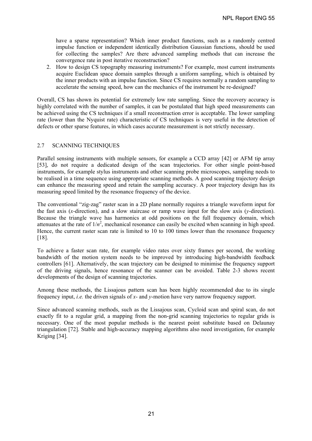have a sparse representation? Which inner product functions, such as a randomly centred impulse function or independent identically distribution Gaussian functions, should be used for collecting the samples? Are there advanced sampling methods that can increase the convergence rate in post iterative reconstruction?

2. How to design CS topography measuring instruments? For example, most current instruments acquire Euclidean space domain samples through a uniform sampling, which is obtained by the inner products with an impulse function. Since CS requires normally a random sampling to accelerate the sensing speed, how can the mechanics of the instrument be re-designed?

Overall, CS has shown its potential for extremely low rate sampling. Since the recovery accuracy is highly correlated with the number of samples, it can be postulated that high speed measurements can be achieved using the CS techniques if a small reconstruction error is acceptable. The lower sampling rate (lower than the Nyquist rate) characteristic of CS techniques is very useful in the detection of defects or other sparse features, in which cases accurate measurement is not strictly necessary.

#### 2.7 SCANNING TECHNIQUES

Parallel sensing instruments with multiple sensors, for example a CCD array [42] or AFM tip array [53], do not require a dedicated design of the scan trajectories. For other single point-based instruments, for example stylus instruments and other scanning probe microscopes, sampling needs to be realised in a time sequence using appropriate scanning methods. A good scanning trajectory design can enhance the measuring speed and retain the sampling accuracy. A poor trajectory design has its measuring speed limited by the resonance frequency of the device.

The conventional "zig-zag" raster scan in a 2D plane normally requires a triangle waveform input for the fast axis (*x*-direction), and a slow staircase or ramp wave input for the slow axis (*y*-direction). Because the triangle wave has harmonics at odd positions on the full frequency domain, which attenuates at the rate of  $1/n^2$ , mechanical resonance can easily be excited when scanning in high speed. Hence, the current raster scan rate is limited to 10 to 100 times lower than the resonance frequency [18].

To achieve a faster scan rate, for example video rates over sixty frames per second, the working bandwidth of the motion system needs to be improved by introducing high-bandwidth feedback controllers [61]. Alternatively, the scan trajectory can be designed to minimise the frequency support of the driving signals, hence resonance of the scanner can be avoided. Table 2-3 shows recent developments of the design of scanning trajectories.

Among these methods, the Lissajous pattern scan has been highly recommended due to its single frequency input, *i.e.* the driven signals of *x*- and *y*-motion have very narrow frequency support.

Since advanced scanning methods, such as the Lissajous scan, Cycloid scan and spiral scan, do not exactly fit to a regular grid, a mapping from the non-grid scanning trajectories to regular grids is necessary. One of the most popular methods is the nearest point substitute based on Delaunay triangulation [72]. Stable and high-accuracy mapping algorithms also need investigation, for example Kriging [34].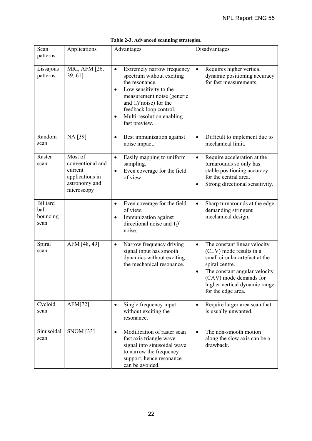| Scan<br>patterns                            | Applications                                                                             | Advantages                                                                                                                                                                                                                                                                   | Disadvantages                                                                                                                                                                                                                              |
|---------------------------------------------|------------------------------------------------------------------------------------------|------------------------------------------------------------------------------------------------------------------------------------------------------------------------------------------------------------------------------------------------------------------------------|--------------------------------------------------------------------------------------------------------------------------------------------------------------------------------------------------------------------------------------------|
| Lissajous<br>patterns                       | MRI, AFM [26,<br>$39,61$ ]                                                               | Extremely narrow frequency<br>$\bullet$<br>spectrum without exciting<br>the resonance.<br>Low sensitivity to the<br>$\bullet$<br>measurement noise (generic<br>and $1/f$ noise) for the<br>feedback loop control.<br>Multi-resolution enabling<br>$\bullet$<br>fast preview. | Requires higher vertical<br>$\bullet$<br>dynamic positioning accuracy<br>for fast measurements.                                                                                                                                            |
| Random<br>scan                              | NA [39]                                                                                  | Best immunization against<br>$\bullet$<br>noise impact.                                                                                                                                                                                                                      | Difficult to implement due to<br>$\bullet$<br>mechanical limit.                                                                                                                                                                            |
| Raster<br>scan                              | Most of<br>conventional and<br>current<br>applications in<br>astronomy and<br>microscopy | Easily mapping to uniform<br>$\bullet$<br>sampling.<br>Even coverage for the field<br>of view.                                                                                                                                                                               | Require acceleration at the<br>$\bullet$<br>turnarounds so only has<br>stable positioning accuracy<br>for the central area.<br>Strong directional sensitivity.<br>$\bullet$                                                                |
| <b>Billiard</b><br>ball<br>bouncing<br>scan |                                                                                          | Even coverage for the field<br>$\bullet$<br>of view.<br>Immunization against<br>directional noise and $1/f$<br>noise.                                                                                                                                                        | Sharp turnarounds at the edge<br>$\bullet$<br>demanding stringent<br>mechanical design.                                                                                                                                                    |
| Spiral<br>scan                              | AFM [48, 49]                                                                             | Narrow frequency driving<br>$\bullet$<br>signal input has smooth<br>dynamics without exciting<br>the mechanical resonance.                                                                                                                                                   | The constant linear velocity<br>$\bullet$<br>(CLV) mode results in a<br>small circular artefact at the<br>spiral centre.<br>The constant angular velocity<br>(CAV) mode demands for<br>higher vertical dynamic range<br>for the edge area. |
| Cycloid<br>scan                             | AFM[72]                                                                                  | Single frequency input<br>$\bullet$<br>without exciting the<br>resonance.                                                                                                                                                                                                    | Require larger area scan that<br>$\bullet$<br>is usually unwanted.                                                                                                                                                                         |
| Sinusoidal<br>scan                          | <b>SNOM</b> [33]                                                                         | Modification of raster scan<br>$\bullet$<br>fast axis triangle wave<br>signal into sinusoidal wave<br>to narrow the frequency<br>support, hence resonance<br>can be avoided.                                                                                                 | The non-smooth motion<br>$\bullet$<br>along the slow axis can be a<br>drawback.                                                                                                                                                            |

|  |  | Table 2-3. Advanced scanning strategies. |
|--|--|------------------------------------------|
|  |  |                                          |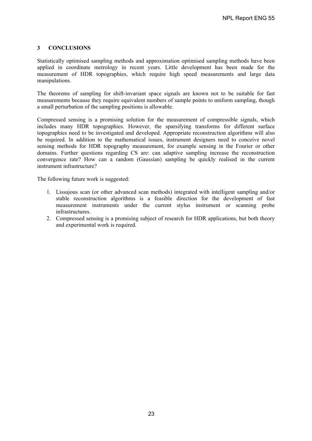## **3 CONCLUSIONS**

Statistically optimised sampling methods and approximation optimised sampling methods have been applied in coordinate metrology in recent years. Little development has been made for the measurement of HDR topographies, which require high speed measurements and large data manipulations.

The theorems of sampling for shift-invariant space signals are known not to be suitable for fast measurements because they require equivalent numbers of sample points to uniform sampling, though a small perturbation of the sampling positions is allowable.

Compressed sensing is a promising solution for the measurement of compressible signals, which includes many HDR topographies. However, the sparsifying transforms for different surface topographies need to be investigated and developed. Appropriate reconstruction algorithms will also be required. In addition to the mathematical issues, instrument designers need to conceive novel sensing methods for HDR topography measurement, for example sensing in the Fourier or other domains. Further questions regarding CS are: can adaptive sampling increase the reconstruction convergence rate? How can a random (Gaussian) sampling be quickly realised in the current instrument infrastructure?

The following future work is suggested:

- 1. Lissajous scan (or other advanced scan methods) integrated with intelligent sampling and/or stable reconstruction algorithms is a feasible direction for the development of fast measurement instruments under the current stylus instrument or scanning probe infrastructures.
- 2. Compressed sensing is a promising subject of research for HDR applications, but both theory and experimental work is required.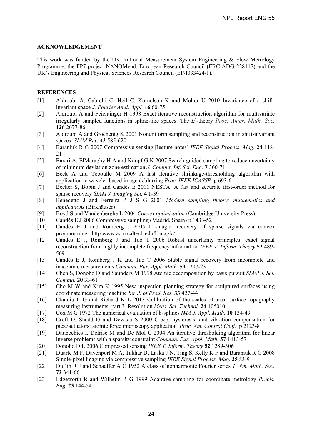# **ACKNOWLEDGEMENT**

This work was funded by the UK National Measurement System Engineering  $\&$  Flow Metrology Programme, the FP7 project NANOMend, European Research Council (ERC-ADG-228117) and the UK's Engineering and Physical Sciences Research Council (EP/I033424/1).

# **REFERENCES**

- [1] Aldroubi A, Cabrelli C, Heil C, Kornelson K and Molter U 2010 Invariance of a shiftinvariant space *J. Fourier Anal. Appl.* **16** 60-75
- [2] Aldroubi A and Feichtinger H 1998 Exact iterative reconstruction algorithm for multivariate irregularly sampled functions in spline-like spaces: The *L<sup>p</sup>* -theory *Proc. Amer. Math. Soc.* **126** 2677-86
- [3] Aldroubi A and Gröchenig K 2001 Nonuniform sampling and reconstruction in shift-invariant spaces *SIAM Rev.* **43** 585-620
- [4] Baraniuk R G 2007 Compressive sensing [lecture notes] *IEEE Signal Process. Mag.* **24** 118- 21
- [5] Barari A, ElMaraghy H A and Knopf G K 2007 Search-guided sampling to reduce uncertainty of minimum deviation zone estimation *J. Comput. Inf. Sci. Eng.* **7** 360-71
- [6] Beck A and Teboulle M 2009 A fast iterative shrinkage-thresholding algorithm with application to wavelet-based image deblurring *Proc. IEEE ICASSP* p 693-6
- [7] Becker S, Bobin J and Candès E 2011 NESTA: A fast and accurate first-order method for sparse recovery *SIAM J. Imaging Sci.* **4** 1-39
- [8] Benedetto J and Ferreira P J S G 2001 *Modern sampling theory: mathematics and applications* (Birkhäuser)
- [9] Boyd S and Vandenberghe L 2004 *Convex optimization* (Cambridge University Press)
- [10] Candès E J 2006 Compressive sampling (Madrid, Spain) p 1433-52
- [11] Candès E J and Romberg J 2005 L1-magic: recovery of sparse signals via convex programming. http:www.acm.caltech.edu/l1magic/
- [12] Candes E J, Romberg J and Tao T 2006 Robust uncertainty principles: exact signal reconstruction from highly incomplete frequency information *IEEE T. Inform. Theory* **52** 489- 509
- [13] Candès E J, Romberg J K and Tao T 2006 Stable signal recovery from incomplete and inaccurate measurements *Commun. Pur. Appl. Math.* **59** 1207-23
- [14] Chen S, Donoho D and Saunders M 1998 Atomic decomposition by basis pursuit *SIAM J. Sci. Comput.* **20** 33-61
- [15] Cho M W and Kim K 1995 New inspection planning strategy for sculptured surfaces using coordinate measuring machine *Int. J. of Prod. Res.* **33** 427-44
- [16] Claudiu L G and Richard K L 2013 Calibration of the scales of areal surface topography measuring instruments: part 3. Resolution *Meas. Sci. Technol.* **24** 105010
- [17] Cox M G 1972 The numerical evaluation of b-splines *IMA J. Appl. Math.* **10** 134-49
- [18] Croft D, Shedd G and Devasia S 2000 Creep, hysteresis, and vibration compensation for piezoactuators: atomic force microscopy application *Proc. Am. Control Conf.* p 2123-8
- [19] Daubechies I, Defrise M and De Mol C 2004 An iterative thresholding algorithm for linear inverse problems with a sparsity constraint *Commun. Pur. Appl. Math.* **57** 1413-57
- [20] Donoho D L 2006 Compressed sensing *IEEE T. Inform. Theory* **52** 1289-306
- [21] Duarte M F, Davenport M A, Takhar D, Laska J N, Ting S, Kelly K F and Baraniuk R G 2008 Single-pixel imaging via compressive sampling *IEEE Signal Process. Mag.* **25** 83-91
- [22] Duffin R J and Schaeffer A C 1952 A class of nonharmonic Fourier series *T. Am. Math. Soc.* **72** 341-66
- [23] Edgeworth R and Wilhelm R G 1999 Adaptive sampling for coordinate metrology *Precis. Eng.* **23** 144-54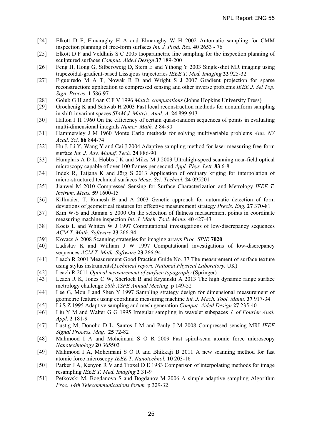- [24] Elkott D F, Elmaraghy H A and Elmaraghy W H 2002 Automatic sampling for CMM inspection planning of free-form surfaces *Int. J. Prod. Res.* **40** 2653 - 76
- [25] Elkott D F and Veldhuis S C 2005 Isoparametric line sampling for the inspection planning of sculptured surfaces *Comput. Aided Design* **37** 189-200
- [26] Feng H, Hong G, Silbersweig D, Stern E and Yihong Y 2003 Single-shot MR imaging using trapezoidal-gradient-based Lissajous trajectories *IEEE T. Med. Imaging* **22** 925-32
- [27] Figueiredo M A T, Nowak R D and Wright S J 2007 Gradient projection for sparse reconstruction: application to compressed sensing and other inverse problems *IEEE J. Sel Top. Sign. Proces.* **1** 586-97
- [28] Golub G H and Loan C F V 1996 *Matrix computations* (Johns Hopkins University Press)
- [29] Grochenig K and Schwab H 2003 Fast local reconstruction methods for nonuniform sampling in shift-invariant spaces *SIAM J. Matrix. Anal. A.* **24** 899-913
- [30] Halton J H 1960 On the efficiency of certain quasi-random sequences of points in evaluating multi-dimensional integrals *Numer. Math.* **2** 84-90
- [31] Hammersley J M 1960 Monte Carlo methods for solving multivariable problems *Ann. NY Acad. Sci.* **86** 844-74
- [32] Hu J, Li Y, Wang Y and Cai J 2004 Adaptive sampling method for laser measuring free-form surface *Int. J. Adv. Manuf. Tech.* **24** 886-90
- [33] Humphris A D L, Hobbs J K and Miles M J 2003 Ultrahigh-speed scanning near-field optical microscopy capable of over 100 frames per second *Appl. Phys. Lett.* **83** 6-8
- [34] Indek R, Tatjana K and Jörg S 2013 Application of ordinary kriging for interpolation of micro-structured technical surfaces *Meas. Sci. Technol.* **24** 095201
- [35] Jianwei M 2010 Compressed Sensing for Surface Characterization and Metrology *IEEE T. Instrum. Meas.* **59** 1600-15
- [36] Killmaier, T, Ramesh B and A 2003 Genetic approach for automatic detection of form deviations of geometrical features for effective measurement strategy *Precis. Eng.* **27** 370-81
- [37] Kim W-S and Raman S 2000 On the selection of flatness measurement points in coordinate measuring machine inspection *Int. J. Mach. Tool. Manu.* **40** 427-43
- [38] Kocis L and Whiten W J 1997 Computational investigations of low-discrepancy sequences *ACM T. Math. Software* **23** 266-94
- [39] Kovacs A 2008 Scanning strategies for imaging arrays *Proc. SPIE* **7020**
- [40] Ladislav K and William J W 1997 Computational investigations of low-discrepancy sequences *ACM T. Math. Software* **23** 266-94
- [41] Leach R 2001 Measurement Good Practice Guide No. 37 The measurement of surface texture using stylus instruments(*Technical report, National Physical Laboratory,* UK)
- [42] Leach R 2011 *Optical measurement of surface topography* (Springer)
- Leach R K, Jones C W, Sherlock B and Krysinski A 2013 The high dynamic range surface metrology challenge *28th ASPE Annual Meeting* p 149-52
- [44] Lee G, Mou J and Shen Y 1997 Sampling strategy design for dimensional measurement of geometric features using coordinate measuring machine *Int. J. Mach. Tool. Manu.* **37** 917-34
- [45] Li S Z 1995 Adaptive sampling and mesh generation *Comput. Aided Design* **27** 235-40
- [46] Liu Y M and Walter G G 1995 Irregular sampling in wavelet subspaces *J. of Fourier Anal. Appl.* **2** 181-9
- [47] Lustig M, Donoho D L, Santos J M and Pauly J M 2008 Compressed sensing MRI *IEEE Signal Process. Mag.* **25** 72-82
- [48] Mahmood I A and Moheimani S O R 2009 Fast spiral-scan atomic force microscopy *Nanotechnology* **20** 365503
- [49] Mahmood I A, Moheimani S O R and Bhikkaji B 2011 A new scanning method for fast atomic force microscopy *IEEE T. Nanotechnol.* **10** 203-16
- [50] Parker J A, Kenyon R V and Troxel D E 1983 Comparison of interpolating methods for image resampling *IEEE T. Med. Imaging* **2** 31-9
- [51] Petkovski M, Bogdanova S and Bogdanov M 2006 A simple adaptive sampling Algorithm *Proc. 14th Telecommunications forum p 329-32*